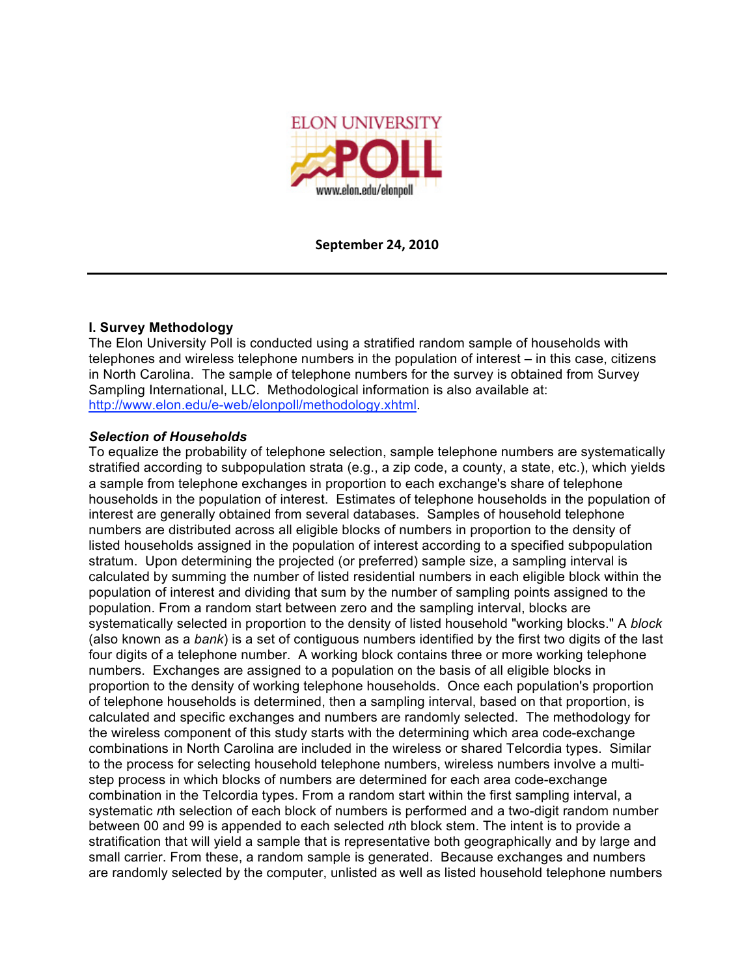

**September
24,
2010**

## **I. Survey Methodology**

The Elon University Poll is conducted using a stratified random sample of households with telephones and wireless telephone numbers in the population of interest – in this case, citizens in North Carolina. The sample of telephone numbers for the survey is obtained from Survey Sampling International, LLC. Methodological information is also available at: http://www.elon.edu/e-web/elonpoll/methodology.xhtml.

## *Selection of Households*

To equalize the probability of telephone selection, sample telephone numbers are systematically stratified according to subpopulation strata (e.g., a zip code, a county, a state, etc.), which yields a sample from telephone exchanges in proportion to each exchange's share of telephone households in the population of interest. Estimates of telephone households in the population of interest are generally obtained from several databases. Samples of household telephone numbers are distributed across all eligible blocks of numbers in proportion to the density of listed households assigned in the population of interest according to a specified subpopulation stratum. Upon determining the projected (or preferred) sample size, a sampling interval is calculated by summing the number of listed residential numbers in each eligible block within the population of interest and dividing that sum by the number of sampling points assigned to the population. From a random start between zero and the sampling interval, blocks are systematically selected in proportion to the density of listed household "working blocks." A *block* (also known as a *bank*) is a set of contiguous numbers identified by the first two digits of the last four digits of a telephone number. A working block contains three or more working telephone numbers. Exchanges are assigned to a population on the basis of all eligible blocks in proportion to the density of working telephone households. Once each population's proportion of telephone households is determined, then a sampling interval, based on that proportion, is calculated and specific exchanges and numbers are randomly selected. The methodology for the wireless component of this study starts with the determining which area code-exchange combinations in North Carolina are included in the wireless or shared Telcordia types. Similar to the process for selecting household telephone numbers, wireless numbers involve a multistep process in which blocks of numbers are determined for each area code-exchange combination in the Telcordia types. From a random start within the first sampling interval, a systematic *n*th selection of each block of numbers is performed and a two-digit random number between 00 and 99 is appended to each selected *n*th block stem. The intent is to provide a stratification that will yield a sample that is representative both geographically and by large and small carrier. From these, a random sample is generated. Because exchanges and numbers are randomly selected by the computer, unlisted as well as listed household telephone numbers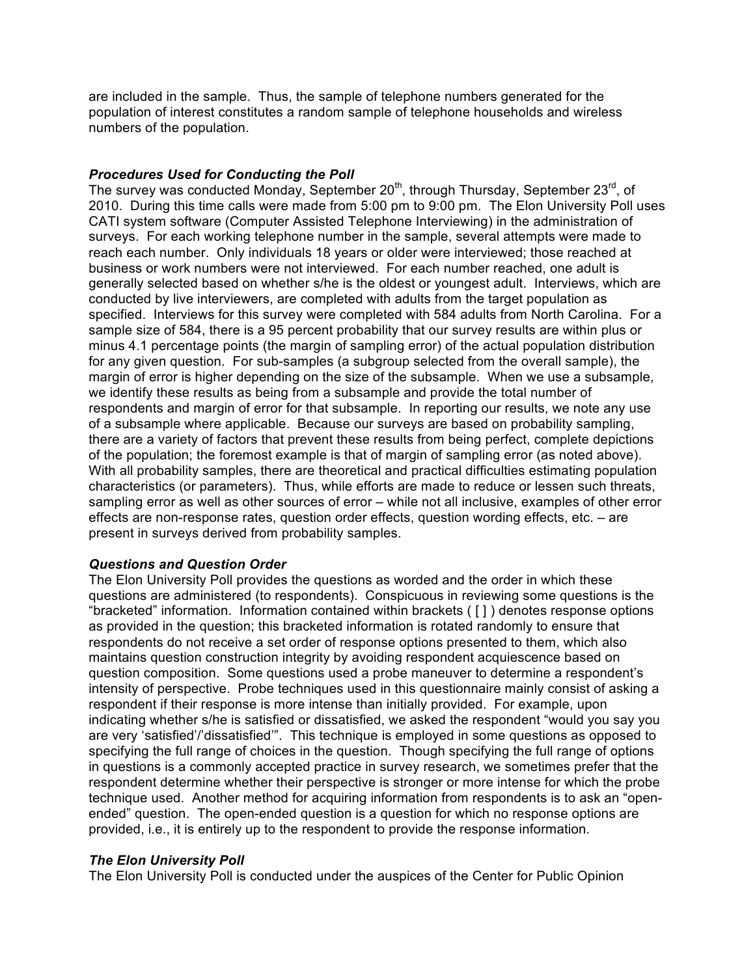are included in the sample. Thus, the sample of telephone numbers generated for the population of interest constitutes a random sample of telephone households and wireless numbers of the population.

## *Procedures Used for Conducting the Poll*

The survey was conducted Monday, September 20<sup>th</sup>, through Thursday, September 23<sup>rd</sup>, of 2010. During this time calls were made from 5:00 pm to 9:00 pm. The Elon University Poll uses CATI system software (Computer Assisted Telephone Interviewing) in the administration of surveys. For each working telephone number in the sample, several attempts were made to reach each number. Only individuals 18 years or older were interviewed; those reached at business or work numbers were not interviewed. For each number reached, one adult is generally selected based on whether s/he is the oldest or youngest adult. Interviews, which are conducted by live interviewers, are completed with adults from the target population as specified. Interviews for this survey were completed with 584 adults from North Carolina. For a sample size of 584, there is a 95 percent probability that our survey results are within plus or minus 4.1 percentage points (the margin of sampling error) of the actual population distribution for any given question. For sub-samples (a subgroup selected from the overall sample), the margin of error is higher depending on the size of the subsample. When we use a subsample, we identify these results as being from a subsample and provide the total number of respondents and margin of error for that subsample. In reporting our results, we note any use of a subsample where applicable. Because our surveys are based on probability sampling, there are a variety of factors that prevent these results from being perfect, complete depictions of the population; the foremost example is that of margin of sampling error (as noted above). With all probability samples, there are theoretical and practical difficulties estimating population characteristics (or parameters). Thus, while efforts are made to reduce or lessen such threats, sampling error as well as other sources of error – while not all inclusive, examples of other error effects are non-response rates, question order effects, question wording effects, etc. – are present in surveys derived from probability samples.

### *Questions and Question Order*

The Elon University Poll provides the questions as worded and the order in which these questions are administered (to respondents). Conspicuous in reviewing some questions is the "bracketed" information. Information contained within brackets ( [ ] ) denotes response options as provided in the question; this bracketed information is rotated randomly to ensure that respondents do not receive a set order of response options presented to them, which also maintains question construction integrity by avoiding respondent acquiescence based on question composition. Some questions used a probe maneuver to determine a respondent's intensity of perspective. Probe techniques used in this questionnaire mainly consist of asking a respondent if their response is more intense than initially provided. For example, upon indicating whether s/he is satisfied or dissatisfied, we asked the respondent "would you say you are very 'satisfied'/'dissatisfied'". This technique is employed in some questions as opposed to specifying the full range of choices in the question. Though specifying the full range of options in questions is a commonly accepted practice in survey research, we sometimes prefer that the respondent determine whether their perspective is stronger or more intense for which the probe technique used. Another method for acquiring information from respondents is to ask an "openended" question. The open-ended question is a question for which no response options are provided, i.e., it is entirely up to the respondent to provide the response information.

### *The Elon University Poll*

The Elon University Poll is conducted under the auspices of the Center for Public Opinion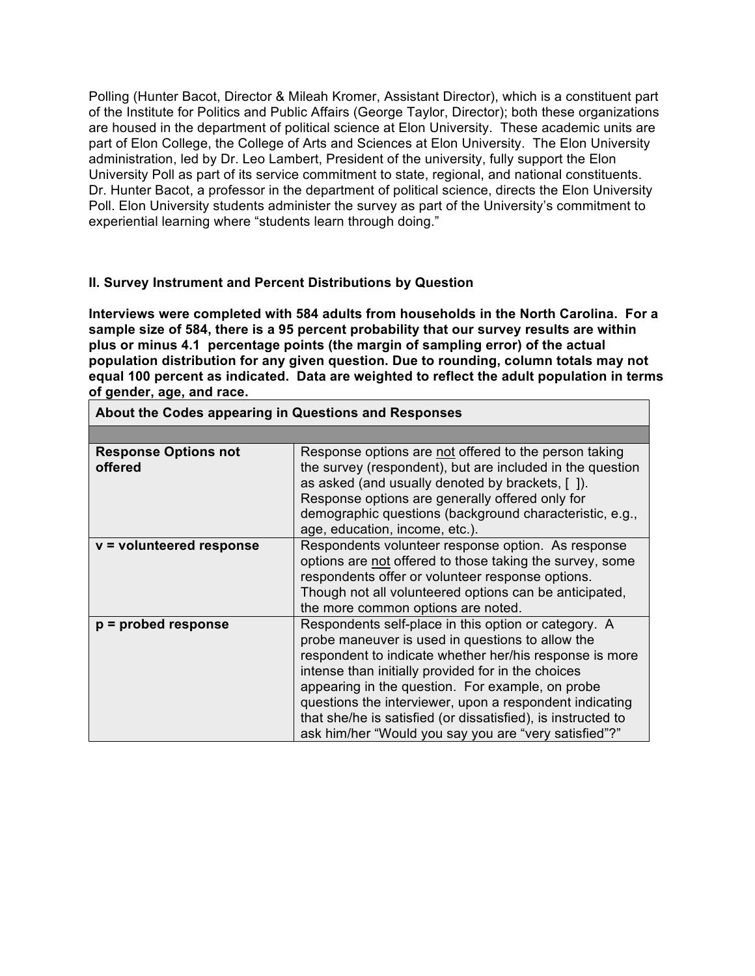Polling (Hunter Bacot, Director & Mileah Kromer, Assistant Director), which is a constituent part of the Institute for Politics and Public Affairs (George Taylor, Director); both these organizations are housed in the department of political science at Elon University. These academic units are part of Elon College, the College of Arts and Sciences at Elon University. The Elon University administration, led by Dr. Leo Lambert, President of the university, fully support the Elon University Poll as part of its service commitment to state, regional, and national constituents. Dr. Hunter Bacot, a professor in the department of political science, directs the Elon University Poll. Elon University students administer the survey as part of the University's commitment to experiential learning where "students learn through doing."

## **II. Survey Instrument and Percent Distributions by Question**

**Interviews were completed with 584 adults from households in the North Carolina. For a sample size of 584, there is a 95 percent probability that our survey results are within plus or minus 4.1 percentage points (the margin of sampling error) of the actual population distribution for any given question. Due to rounding, column totals may not equal 100 percent as indicated. Data are weighted to reflect the adult population in terms of gender, age, and race.**

| ADOUL LIIG OOGGO appearing in QueStions and Responses |                                                                                                                                                                                                                                                                                                                                                                                                                                                                   |  |
|-------------------------------------------------------|-------------------------------------------------------------------------------------------------------------------------------------------------------------------------------------------------------------------------------------------------------------------------------------------------------------------------------------------------------------------------------------------------------------------------------------------------------------------|--|
|                                                       |                                                                                                                                                                                                                                                                                                                                                                                                                                                                   |  |
| <b>Response Options not</b><br>offered                | Response options are not offered to the person taking<br>the survey (respondent), but are included in the question<br>as asked (and usually denoted by brackets, [ ]).<br>Response options are generally offered only for<br>demographic questions (background characteristic, e.g.,<br>age, education, income, etc.).                                                                                                                                            |  |
| $v =$ volunteered response                            | Respondents volunteer response option. As response<br>options are not offered to those taking the survey, some<br>respondents offer or volunteer response options.<br>Though not all volunteered options can be anticipated,<br>the more common options are noted.                                                                                                                                                                                                |  |
| $p =$ probed response                                 | Respondents self-place in this option or category. A<br>probe maneuver is used in questions to allow the<br>respondent to indicate whether her/his response is more<br>intense than initially provided for in the choices<br>appearing in the question. For example, on probe<br>questions the interviewer, upon a respondent indicating<br>that she/he is satisfied (or dissatisfied), is instructed to<br>ask him/her "Would you say you are "very satisfied"?" |  |

**About the Codes appearing in Questions and Responses**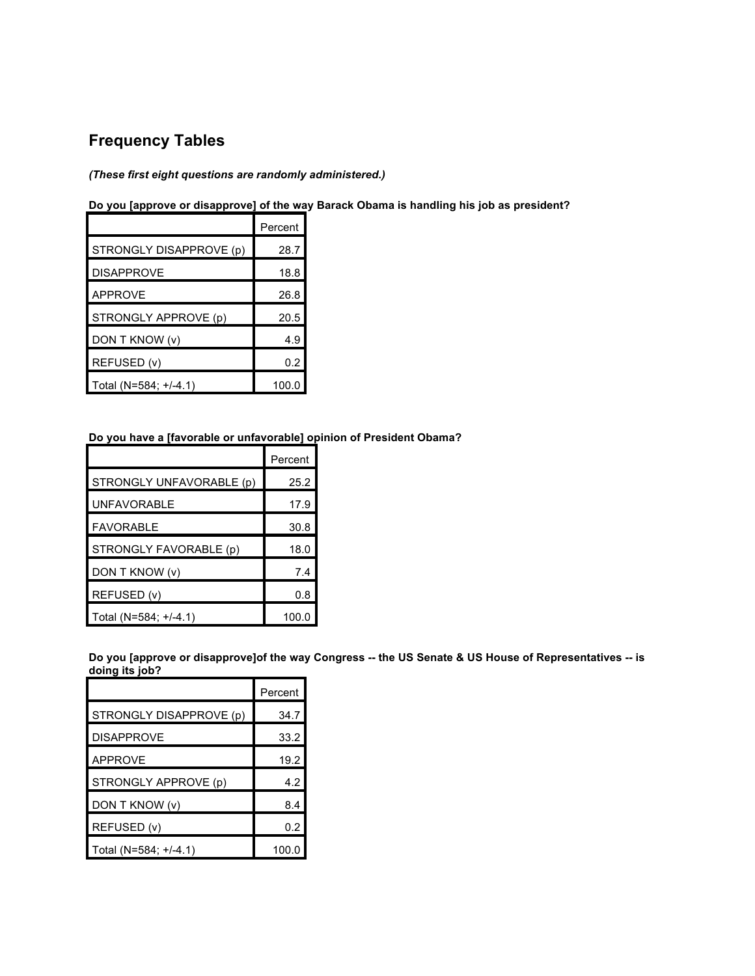# **Frequency Tables**

### *(These first eight questions are randomly administered.)*

# **Do you [approve or disapprove] of the way Barack Obama is handling his job as president?**

|                         | Percent |
|-------------------------|---------|
| STRONGLY DISAPPROVE (p) | 28.7    |
| <b>DISAPPROVE</b>       | 18.8    |
| APPROVE                 | 26.8    |
| STRONGLY APPROVE (p)    | 20.5    |
| DON T KNOW (v)          | 4.9     |
| REFUSED (v)             | 0.2     |
| Total (N=584; +/-4.1)   | 100.0   |

#### **Do you have a [favorable or unfavorable] opinion of President Obama?**

|                          | Percent |
|--------------------------|---------|
| STRONGLY UNFAVORABLE (p) | 25.2    |
| <b>UNFAVORABLE</b>       | 17.9    |
| <b>FAVORABLE</b>         | 30.8    |
| STRONGLY FAVORABLE (p)   | 18.0    |
| DON T KNOW (v)           | 7.4     |
| REFUSED (v)              | 0.8     |
| Total (N=584; +/-4.1)    | 100.0   |

Do you [approve or disapprove]of the way Congress -- the US Senate & US House of Representatives -- is **doing its job?**

|                         | Percent |
|-------------------------|---------|
| STRONGLY DISAPPROVE (p) | 34.7    |
| <b>DISAPPROVE</b>       | 33.2    |
| <b>APPROVE</b>          | 19.2    |
| STRONGLY APPROVE (p)    | 4.2     |
| DON T KNOW (v)          | 8.4     |
| REFUSED (v)             | 0.2     |
| Total (N=584; +/-4.1)   | 100.0   |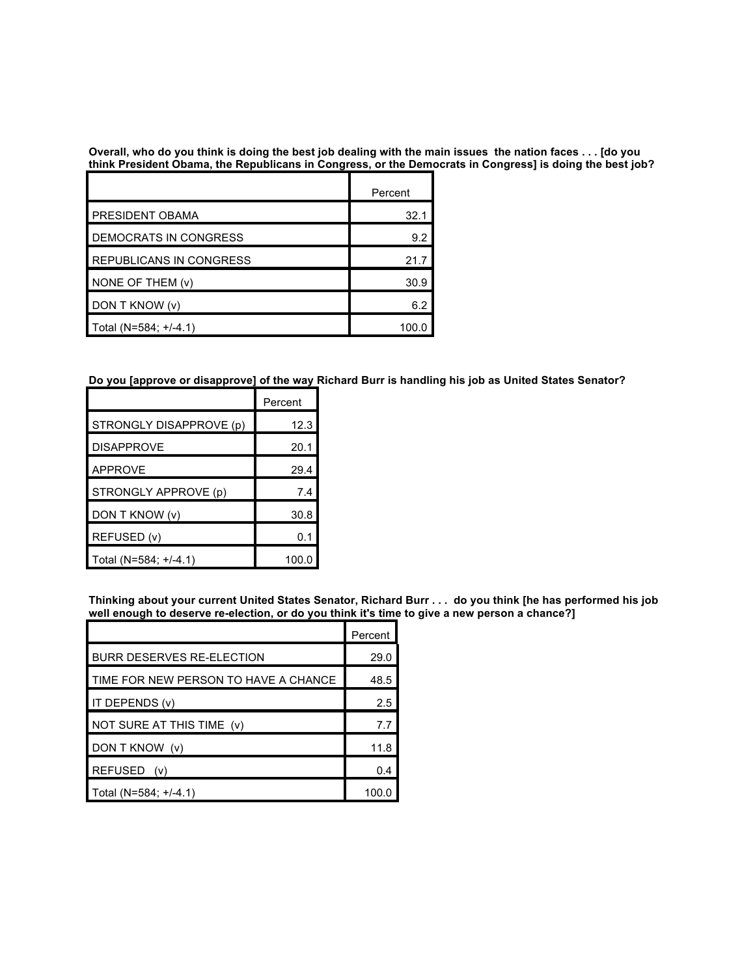Overall, who do you think is doing the best job dealing with the main issues the nation faces . . . [do you **think President Obama, the Republicans in Congress, or the Democrats in Congress] is doing the best job?**

|                          | Percent |
|--------------------------|---------|
| <b>PRESIDENT OBAMA</b>   | 32.1    |
| DEMOCRATS IN CONGRESS    | 9.2     |
| REPUBLICANS IN CONGRESS  | 21 7    |
| NONE OF THEM (v)         | 30.9    |
| DON T KNOW (v)           | 6.2     |
| Total (N=584; $+/-4.1$ ) |         |

Do you [approve or disapprove] of the way Richard Burr is handling his job as United States Senator?

|                         | Percent |
|-------------------------|---------|
| STRONGLY DISAPPROVE (p) | 12.3    |
| <b>DISAPPROVE</b>       | 20.1    |
| <b>APPROVE</b>          | 29.4    |
| STRONGLY APPROVE (p)    | 7.4     |
| DON T KNOW (v)          | 30.8    |
| REFUSED (v)             | 0.1     |
| Total (N=584; +/-4.1)   | 100.0   |

Thinking about your current United States Senator, Richard Burr . . . do you think [he has performed his job **well enough to deserve re-election, or do you think it's time to give a new person a chance?]**

|                                      | Percent |
|--------------------------------------|---------|
| <b>BURR DESERVES RE-ELECTION</b>     | 29.0    |
| TIME FOR NEW PERSON TO HAVE A CHANCE | 48.5    |
| IT DEPENDS (v)                       | 2.5     |
| NOT SURE AT THIS TIME (v)            | 7.7     |
| DON T KNOW (v)                       | 11.8    |
| REFUSED (v)                          | 0.4     |
| Total (N=584; +/-4.1)                | 100.0   |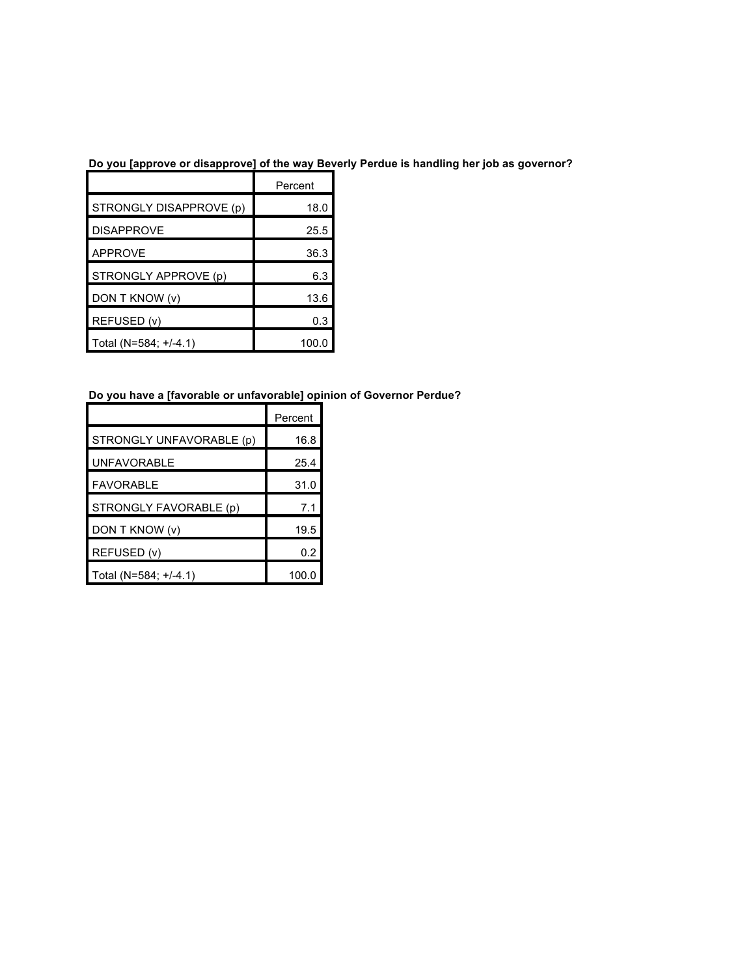# **Do you [approve or disapprove] of the way Beverly Perdue is handling her job as governor?**

|                         | Percent |
|-------------------------|---------|
| STRONGLY DISAPPROVE (p) | 18.0    |
| <b>DISAPPROVE</b>       | 25.5    |
| <b>APPROVE</b>          | 36.3    |
| STRONGLY APPROVE (p)    | 6.3     |
| DON T KNOW (v)          | 13.6    |
| REFUSED (v)             | 0.3     |
| Total (N=584; +/-4.1)   | 100.0   |

# **Do you have a [favorable or unfavorable] opinion of Governor Perdue?**

|                          | Percent |
|--------------------------|---------|
| STRONGLY UNFAVORABLE (p) | 16.8    |
| <b>UNFAVORABLE</b>       | 25.4    |
| <b>FAVORABLE</b>         | 31.0    |
| STRONGLY FAVORABLE (p)   | 7.1     |
| DON T KNOW (v)           | 19.5    |
| REFUSED (v)              | 0.2     |
| Total (N=584; +/-4.1)    | 100.0   |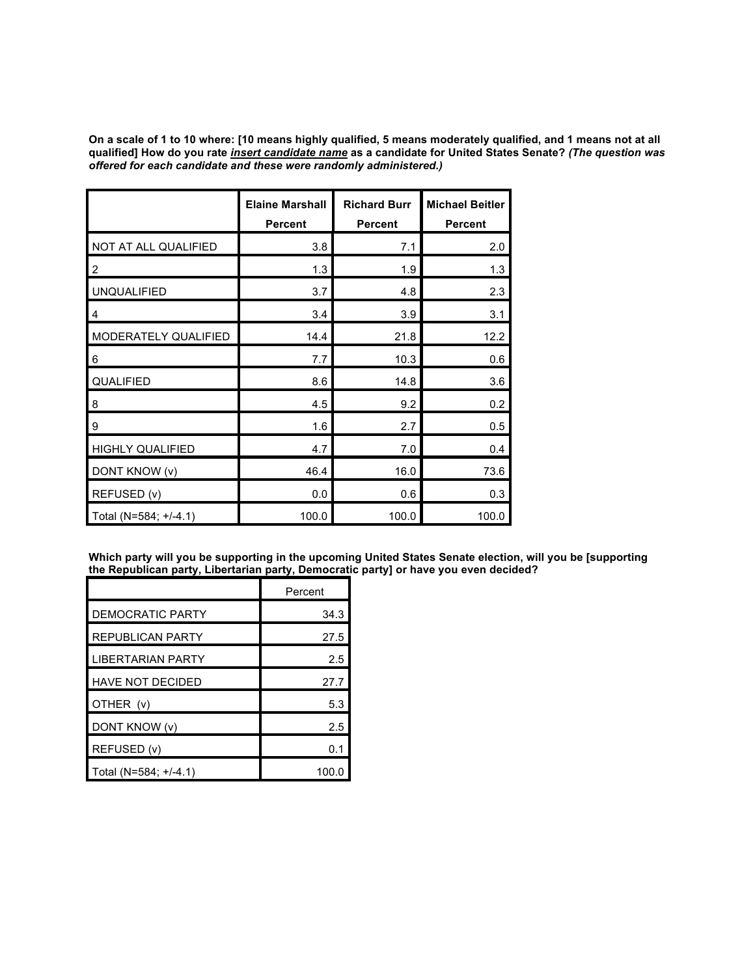On a scale of 1 to 10 where: [10 means highly qualified, 5 means moderately qualified, and 1 means not at all qualified] How do you rate <u>insert candidate name</u> as a candidate for United States Senate? *(The question was offered for each candidate and these were randomly administered.)*

|                         | <b>Elaine Marshall</b><br>Percent | <b>Richard Burr</b><br><b>Percent</b> | <b>Michael Beitler</b><br><b>Percent</b> |
|-------------------------|-----------------------------------|---------------------------------------|------------------------------------------|
| NOT AT ALL QUALIFIED    | 3.8                               | 7.1                                   | 2.0                                      |
| $\overline{c}$          | 1.3                               | 1.9                                   | 1.3                                      |
| <b>UNQUALIFIED</b>      | 3.7                               | 4.8                                   | 2.3                                      |
| 4                       | 3.4                               | 3.9                                   | 3.1                                      |
| MODERATELY QUALIFIED    | 14.4                              | 21.8                                  | 12.2                                     |
| 6                       | 7.7                               | 10.3                                  | 0.6                                      |
| QUALIFIED               | 8.6                               | 14.8                                  | 3.6                                      |
| 8                       | 4.5                               | 9.2                                   | 0.2                                      |
| 9                       | 1.6                               | 2.7                                   | 0.5                                      |
| <b>HIGHLY QUALIFIED</b> | 4.7                               | 7.0                                   | 0.4                                      |
| DONT KNOW (v)           | 46.4                              | 16.0                                  | 73.6                                     |
| REFUSED (v)             | 0.0                               | 0.6                                   | 0.3                                      |
| Total (N=584; +/-4.1)   | 100.0                             | 100.0                                 | 100.0                                    |

**Which party will you be supporting in the upcoming United States Senate election, will you be [supporting the Republican party, Libertarian party, Democratic party] or have you even decided?**

|                         | Percent |
|-------------------------|---------|
| DEMOCRATIC PARTY        | 34.3    |
| <b>REPUBLICAN PARTY</b> | 27.5    |
| LIBERTARIAN PARTY       | 2.5     |
| <b>HAVE NOT DECIDED</b> | 27.7    |
| OTHER (v)               | 5.3     |
| DONT KNOW (v)           | 2.5     |
| REFUSED (v)             | 0.1     |
| Total (N=584; +/-4.1)   | 100.0   |